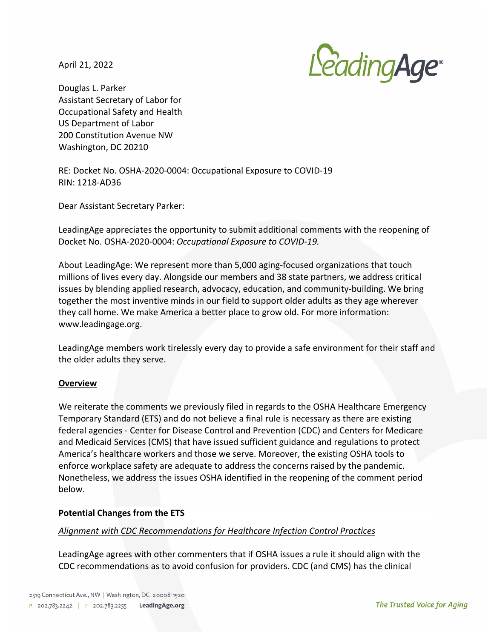April 21, 2022



Douglas L. Parker Assistant Secretary of Labor for Occupational Safety and Health US Department of Labor 200 Constitution Avenue NW Washington, DC 20210

RE: Docket No. OSHA-2020-0004: Occupational Exposure to COVID-19 RIN: 1218-AD36

Dear Assistant Secretary Parker:

LeadingAge appreciates the opportunity to submit additional comments with the reopening of Docket No. OSHA-2020-0004: Occupational Exposure to COVID-19.

About LeadingAge: We represent more than 5,000 aging-focused organizations that touch millions of lives every day. Alongside our members and 38 state partners, we address critical issues by blending applied research, advocacy, education, and community-building. We bring together the most inventive minds in our field to support older adults as they age wherever they call home. We make America a better place to grow old. For more information: www.leadingage.org.

LeadingAge members work tirelessly every day to provide a safe environment for their staff and the older adults they serve.

#### **Overview**

We reiterate the comments we previously filed in regards to the OSHA Healthcare Emergency Temporary Standard (ETS) and do not believe a final rule is necessary as there are existing federal agencies - Center for Disease Control and Prevention (CDC) and Centers for Medicare and Medicaid Services (CMS) that have issued sufficient guidance and regulations to protect America's healthcare workers and those we serve. Moreover, the existing OSHA tools to enforce workplace safety are adequate to address the concerns raised by the pandemic. Nonetheless, we address the issues OSHA identified in the reopening of the comment period below. 

#### **Potential Changes from the ETS**

#### Alignment with CDC Recommendations for Healthcare Infection Control Practices

LeadingAge agrees with other commenters that if OSHA issues a rule it should align with the CDC recommendations as to avoid confusion for providers. CDC (and CMS) has the clinical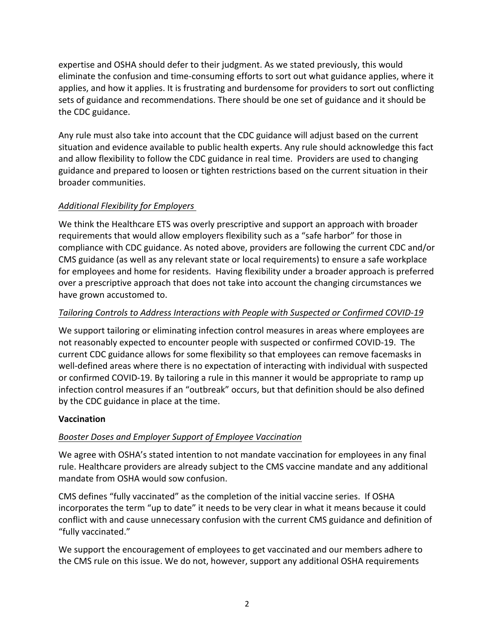expertise and OSHA should defer to their judgment. As we stated previously, this would eliminate the confusion and time-consuming efforts to sort out what guidance applies, where it applies, and how it applies. It is frustrating and burdensome for providers to sort out conflicting sets of guidance and recommendations. There should be one set of guidance and it should be the CDC guidance.

Any rule must also take into account that the CDC guidance will adjust based on the current situation and evidence available to public health experts. Any rule should acknowledge this fact and allow flexibility to follow the CDC guidance in real time. Providers are used to changing guidance and prepared to loosen or tighten restrictions based on the current situation in their broader communities.

# *Additional Flexibility for Employers*

We think the Healthcare ETS was overly prescriptive and support an approach with broader requirements that would allow employers flexibility such as a "safe harbor" for those in compliance with CDC guidance. As noted above, providers are following the current CDC and/or CMS guidance (as well as any relevant state or local requirements) to ensure a safe workplace for employees and home for residents. Having flexibility under a broader approach is preferred over a prescriptive approach that does not take into account the changing circumstances we have grown accustomed to.

# Tailoring Controls to Address Interactions with People with Suspected or Confirmed COVID-19

We support tailoring or eliminating infection control measures in areas where employees are not reasonably expected to encounter people with suspected or confirmed COVID-19. The current CDC guidance allows for some flexibility so that employees can remove facemasks in well-defined areas where there is no expectation of interacting with individual with suspected or confirmed COVID-19. By tailoring a rule in this manner it would be appropriate to ramp up infection control measures if an "outbreak" occurs, but that definition should be also defined by the CDC guidance in place at the time.

### **Vaccination**

# *Booster Doses and Employer Support of Employee Vaccination*

We agree with OSHA's stated intention to not mandate vaccination for employees in any final rule. Healthcare providers are already subject to the CMS vaccine mandate and any additional mandate from OSHA would sow confusion.

CMS defines "fully vaccinated" as the completion of the initial vaccine series. If OSHA incorporates the term "up to date" it needs to be very clear in what it means because it could conflict with and cause unnecessary confusion with the current CMS guidance and definition of "fully vaccinated."

We support the encouragement of employees to get vaccinated and our members adhere to the CMS rule on this issue. We do not, however, support any additional OSHA requirements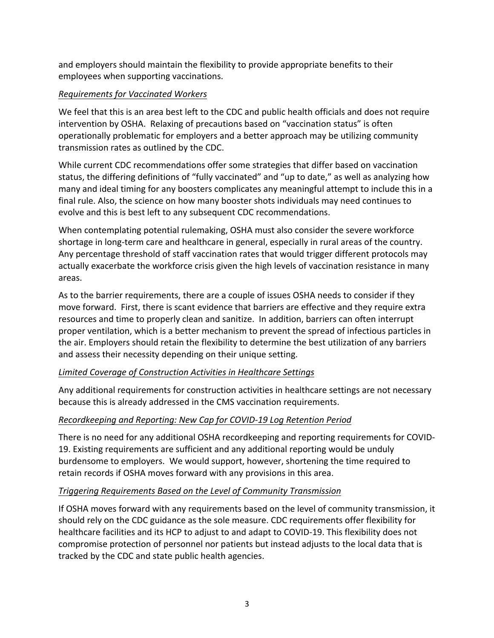and employers should maintain the flexibility to provide appropriate benefits to their employees when supporting vaccinations.

## *Requirements for Vaccinated Workers*

We feel that this is an area best left to the CDC and public health officials and does not require intervention by OSHA. Relaxing of precautions based on "vaccination status" is often operationally problematic for employers and a better approach may be utilizing community transmission rates as outlined by the CDC.

While current CDC recommendations offer some strategies that differ based on vaccination status, the differing definitions of "fully vaccinated" and "up to date," as well as analyzing how many and ideal timing for any boosters complicates any meaningful attempt to include this in a final rule. Also, the science on how many booster shots individuals may need continues to evolve and this is best left to any subsequent CDC recommendations.

When contemplating potential rulemaking, OSHA must also consider the severe workforce shortage in long-term care and healthcare in general, especially in rural areas of the country. Any percentage threshold of staff vaccination rates that would trigger different protocols may actually exacerbate the workforce crisis given the high levels of vaccination resistance in many areas.

As to the barrier requirements, there are a couple of issues OSHA needs to consider if they move forward. First, there is scant evidence that barriers are effective and they require extra resources and time to properly clean and sanitize. In addition, barriers can often interrupt proper ventilation, which is a better mechanism to prevent the spread of infectious particles in the air. Employers should retain the flexibility to determine the best utilization of any barriers and assess their necessity depending on their unique setting.

### *Limited Coverage of Construction Activities in Healthcare Settings*

Any additional requirements for construction activities in healthcare settings are not necessary because this is already addressed in the CMS vaccination requirements.

### *Recordkeeping and Reporting: New Cap for COVID-19 Log Retention Period*

There is no need for any additional OSHA recordkeeping and reporting requirements for COVID-19. Existing requirements are sufficient and any additional reporting would be unduly burdensome to employers. We would support, however, shortening the time required to retain records if OSHA moves forward with any provisions in this area.

# **Triggering Requirements Based on the Level of Community Transmission**

If OSHA moves forward with any requirements based on the level of community transmission, it should rely on the CDC guidance as the sole measure. CDC requirements offer flexibility for healthcare facilities and its HCP to adjust to and adapt to COVID-19. This flexibility does not compromise protection of personnel nor patients but instead adjusts to the local data that is tracked by the CDC and state public health agencies.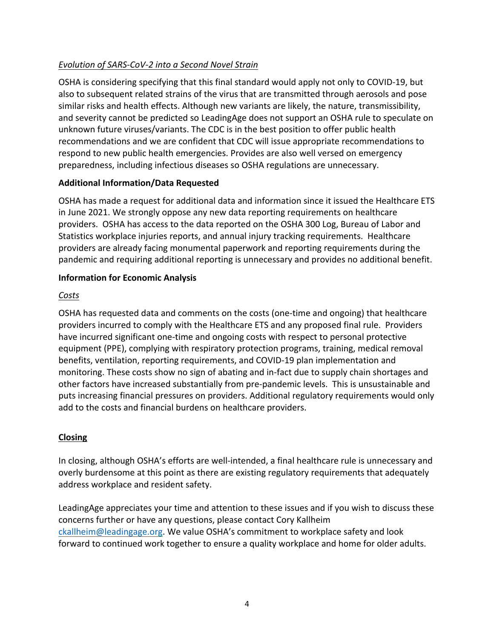# *Evolution of SARS-CoV-2 into a Second Novel Strain*

OSHA is considering specifying that this final standard would apply not only to COVID-19, but also to subsequent related strains of the virus that are transmitted through aerosols and pose similar risks and health effects. Although new variants are likely, the nature, transmissibility, and severity cannot be predicted so LeadingAge does not support an OSHA rule to speculate on unknown future viruses/variants. The CDC is in the best position to offer public health recommendations and we are confident that CDC will issue appropriate recommendations to respond to new public health emergencies. Provides are also well versed on emergency preparedness, including infectious diseases so OSHA regulations are unnecessary.

# **Additional Information/Data Requested**

OSHA has made a request for additional data and information since it issued the Healthcare ETS in June 2021. We strongly oppose any new data reporting requirements on healthcare providers. OSHA has access to the data reported on the OSHA 300 Log, Bureau of Labor and Statistics workplace injuries reports, and annual injury tracking requirements. Healthcare providers are already facing monumental paperwork and reporting requirements during the pandemic and requiring additional reporting is unnecessary and provides no additional benefit.

# **Information for Economic Analysis**

# *Costs*

OSHA has requested data and comments on the costs (one-time and ongoing) that healthcare providers incurred to comply with the Healthcare ETS and any proposed final rule. Providers have incurred significant one-time and ongoing costs with respect to personal protective equipment (PPE), complying with respiratory protection programs, training, medical removal benefits, ventilation, reporting requirements, and COVID-19 plan implementation and monitoring. These costs show no sign of abating and in-fact due to supply chain shortages and other factors have increased substantially from pre-pandemic levels. This is unsustainable and puts increasing financial pressures on providers. Additional regulatory requirements would only add to the costs and financial burdens on healthcare providers.

# **Closing**

In closing, although OSHA's efforts are well-intended, a final healthcare rule is unnecessary and overly burdensome at this point as there are existing regulatory requirements that adequately address workplace and resident safety.

LeadingAge appreciates your time and attention to these issues and if you wish to discuss these concerns further or have any questions, please contact Cory Kallheim ckallheim@leadingage.org. We value OSHA's commitment to workplace safety and look forward to continued work together to ensure a quality workplace and home for older adults.